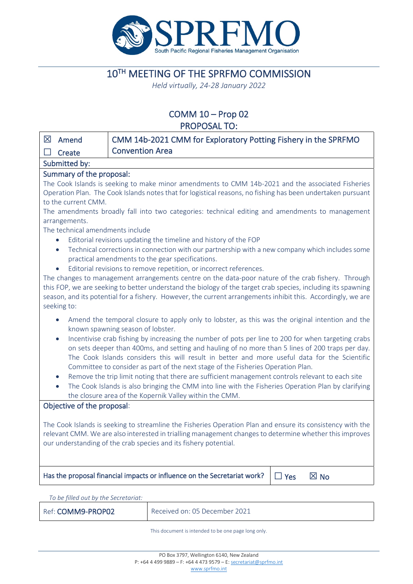

# 10TH MEETING OF THE SPRFMO COMMISSION

*Held virtually, 24-28 January 2022*

# COMM 10 – Prop 02 PROPOSAL TO:

| $\boxtimes$<br>Amend                                                                                                                                                                                                                                                                                                 | CMM 14b-2021 CMM for Exploratory Potting Fishery in the SPRFMO                                                                                                                                                               |  |  |  |  |
|----------------------------------------------------------------------------------------------------------------------------------------------------------------------------------------------------------------------------------------------------------------------------------------------------------------------|------------------------------------------------------------------------------------------------------------------------------------------------------------------------------------------------------------------------------|--|--|--|--|
| Create                                                                                                                                                                                                                                                                                                               | <b>Convention Area</b>                                                                                                                                                                                                       |  |  |  |  |
| Submitted by:                                                                                                                                                                                                                                                                                                        |                                                                                                                                                                                                                              |  |  |  |  |
| Summary of the proposal:                                                                                                                                                                                                                                                                                             |                                                                                                                                                                                                                              |  |  |  |  |
|                                                                                                                                                                                                                                                                                                                      | The Cook Islands is seeking to make minor amendments to CMM 14b-2021 and the associated Fisheries                                                                                                                            |  |  |  |  |
| to the current CMM.                                                                                                                                                                                                                                                                                                  | Operation Plan. The Cook Islands notes that for logistical reasons, no fishing has been undertaken pursuant                                                                                                                  |  |  |  |  |
|                                                                                                                                                                                                                                                                                                                      | The amendments broadly fall into two categories: technical editing and amendments to management                                                                                                                              |  |  |  |  |
| arrangements.                                                                                                                                                                                                                                                                                                        |                                                                                                                                                                                                                              |  |  |  |  |
| The technical amendments include                                                                                                                                                                                                                                                                                     |                                                                                                                                                                                                                              |  |  |  |  |
| $\bullet$                                                                                                                                                                                                                                                                                                            | Editorial revisions updating the timeline and history of the FOP                                                                                                                                                             |  |  |  |  |
| Technical corrections in connection with our partnership with a new company which includes some<br>$\bullet$<br>practical amendments to the gear specifications.                                                                                                                                                     |                                                                                                                                                                                                                              |  |  |  |  |
| $\bullet$                                                                                                                                                                                                                                                                                                            | Editorial revisions to remove repetition, or incorrect references.                                                                                                                                                           |  |  |  |  |
|                                                                                                                                                                                                                                                                                                                      | The changes to management arrangements centre on the data-poor nature of the crab fishery. Through                                                                                                                           |  |  |  |  |
|                                                                                                                                                                                                                                                                                                                      | this FOP, we are seeking to better understand the biology of the target crab species, including its spawning<br>season, and its potential for a fishery. However, the current arrangements inhibit this. Accordingly, we are |  |  |  |  |
| seeking to:                                                                                                                                                                                                                                                                                                          |                                                                                                                                                                                                                              |  |  |  |  |
| Amend the temporal closure to apply only to lobster, as this was the original intention and the<br>known spawning season of lobster.                                                                                                                                                                                 |                                                                                                                                                                                                                              |  |  |  |  |
| Incentivise crab fishing by increasing the number of pots per line to 200 for when targeting crabs<br>$\bullet$<br>on sets deeper than 400ms, and setting and hauling of no more than 5 lines of 200 traps per day.<br>The Cook Islands considers this will result in better and more useful data for the Scientific |                                                                                                                                                                                                                              |  |  |  |  |
|                                                                                                                                                                                                                                                                                                                      | Committee to consider as part of the next stage of the Fisheries Operation Plan.                                                                                                                                             |  |  |  |  |
| Remove the trip limit noting that there are sufficient management controls relevant to each site<br>$\bullet$<br>The Cook Islands is also bringing the CMM into line with the Fisheries Operation Plan by clarifying<br>$\bullet$                                                                                    |                                                                                                                                                                                                                              |  |  |  |  |
| the closure area of the Kopernik Valley within the CMM.                                                                                                                                                                                                                                                              |                                                                                                                                                                                                                              |  |  |  |  |
| Objective of the proposal:                                                                                                                                                                                                                                                                                           |                                                                                                                                                                                                                              |  |  |  |  |
| The Cook Islands is seeking to streamline the Fisheries Operation Plan and ensure its consistency with the                                                                                                                                                                                                           |                                                                                                                                                                                                                              |  |  |  |  |
| relevant CMM. We are also interested in trialling management changes to determine whether this improves                                                                                                                                                                                                              |                                                                                                                                                                                                                              |  |  |  |  |
| our understanding of the crab species and its fishery potential.                                                                                                                                                                                                                                                     |                                                                                                                                                                                                                              |  |  |  |  |
|                                                                                                                                                                                                                                                                                                                      |                                                                                                                                                                                                                              |  |  |  |  |
| Has the proposal financial impacts or influence on the Secretariat work?<br>$\boxtimes$ No<br>$\Box$ Yes                                                                                                                                                                                                             |                                                                                                                                                                                                                              |  |  |  |  |

*To be filled out by the Secretariat:* Ref: COMM9-PROP02 Received on: 05 December 2021

This document is intended to be one page long only.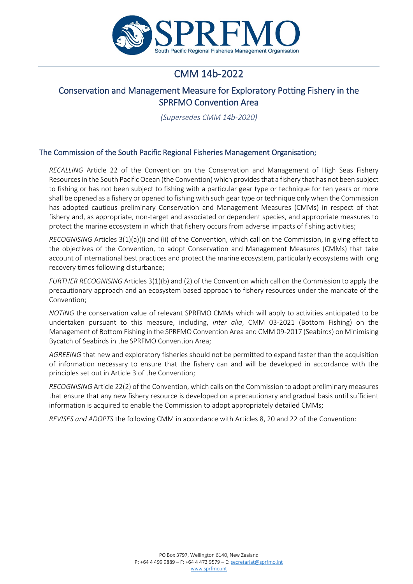

# CMM 14b-2022

# Conservation and Management Measure for Exploratory Potting Fishery in the SPRFMO Convention Area

*(Supersedes CMM 14b-2020)*

# The Commission of the South Pacific Regional Fisheries Management Organisation;

*RECALLING* Article 22 of the Convention on the Conservation and Management of High Seas Fishery Resources in the South Pacific Ocean (the Convention) which provides that a fishery that has not been subject to fishing or has not been subject to fishing with a particular gear type or technique for ten years or more shall be opened as a fishery or opened to fishing with such gear type or technique only when the Commission has adopted cautious preliminary Conservation and Management Measures (CMMs) in respect of that fishery and, as appropriate, non-target and associated or dependent species, and appropriate measures to protect the marine ecosystem in which that fishery occurs from adverse impacts of fishing activities;

*RECOGNISING* Articles 3(1)(a)(i) and (ii) of the Convention, which call on the Commission, in giving effect to the objectives of the Convention, to adopt Conservation and Management Measures (CMMs) that take account of international best practices and protect the marine ecosystem, particularly ecosystems with long recovery times following disturbance;

*FURTHER RECOGNISING* Articles 3(1)(b) and (2) of the Convention which call on the Commission to apply the precautionary approach and an ecosystem based approach to fishery resources under the mandate of the Convention;

*NOTING* the conservation value of relevant SPRFMO CMMs which will apply to activities anticipated to be undertaken pursuant to this measure, including, *inter alia*, CMM 03-2021 (Bottom Fishing) on the Management of Bottom Fishing in the SPRFMO Convention Area and CMM 09-2017 (Seabirds) on Minimising Bycatch of Seabirds in the SPRFMO Convention Area;

*AGREEING* that new and exploratory fisheries should not be permitted to expand faster than the acquisition of information necessary to ensure that the fishery can and will be developed in accordance with the principles set out in Article 3 of the Convention;

*RECOGNISING* Article 22(2) of the Convention, which calls on the Commission to adopt preliminary measures that ensure that any new fishery resource is developed on a precautionary and gradual basis until sufficient information is acquired to enable the Commission to adopt appropriately detailed CMMs;

*REVISES and ADOPTS* the following CMM in accordance with Articles 8, 20 and 22 of the Convention: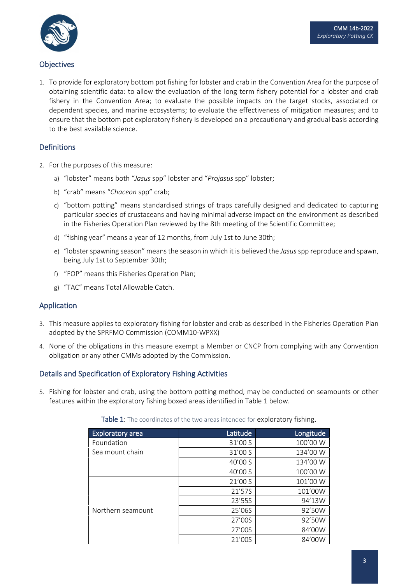

# **Objectives**

1. To provide for exploratory bottom pot fishing for lobster and crab in the Convention Area for the purpose of obtaining scientific data: to allow the evaluation of the long term fishery potential for a lobster and crab fishery in the Convention Area; to evaluate the possible impacts on the target stocks, associated or dependent species, and marine ecosystems; to evaluate the effectiveness of mitigation measures; and to ensure that the bottom pot exploratory fishery is developed on a precautionary and gradual basis according to the best available science.

### Definitions

- 2. For the purposes of this measure:
	- a) "lobster" means both "*Jasus* spp" lobster and "*Projasus* spp" lobster;
	- b) "crab" means "*Chaceon* spp" crab;
	- c) "bottom potting" means standardised strings of traps carefully designed and dedicated to capturing particular species of crustaceans and having minimal adverse impact on the environment as described in the Fisheries Operation Plan reviewed by the 8th meeting of the Scientific Committee;
	- d) "fishing year" means a year of 12 months, from July 1st to June 30th;
	- e) "lobster spawning season" means the season in which it is believed the *Jasus* spp reproduce and spawn, being July 1st to September 30th;
	- f) "FOP" means this Fisheries Operation Plan;
	- g) "TAC" means Total Allowable Catch.

#### Application

- 3. This measure applies to exploratory fishing for lobster and crab as described in the Fisheries Operation Plan adopted by the SPRFMO Commission (COMM10-WPXX)
- 4. None of the obligations in this measure exempt a Member or CNCP from complying with any Convention obligation or any other CMMs adopted by the Commission.

#### Details and Specification of Exploratory Fishing Activities

5. Fishing for lobster and crab, using the bottom potting method, may be conducted on seamounts or other features within the exploratory fishing boxed areas identified in Table 1 below.

| <b>Exploratory area</b> | Latitude | Longitude |
|-------------------------|----------|-----------|
| Foundation              | 31'00 S  | 100'00 W  |
| Sea mount chain         | 31'00 S  | 134'00 W  |
|                         | 40'00 S  | 134'00 W  |
|                         | 40'00 S  | 100'00 W  |
|                         | 21'00 S  | 101'00 W  |
|                         | 21'57S   | 101'00W   |
|                         | 23'55S   | 94'13W    |
| Northern seamount       | 25'06S   | 92'50W    |
|                         | 27'00S   | 92'50W    |
|                         | 27'00S   | 84'00W    |
|                         | 21'00S   | 84'00W    |

#### Table 1: The coordinates of the two areas intended for exploratory fishing.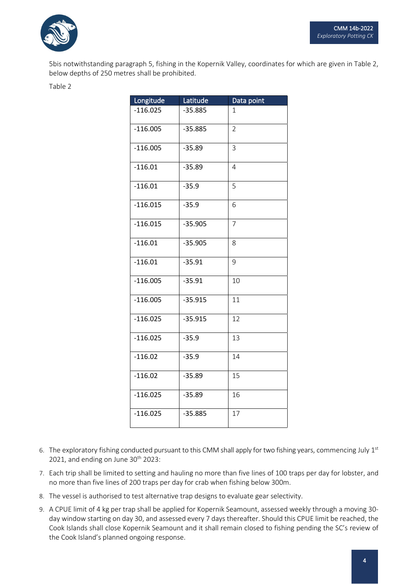

5bis notwithstanding paragraph 5, fishing in the Kopernik Valley, coordinates for which are given in Table 2, below depths of 250 metres shall be prohibited.

| ۰. |  |  |
|----|--|--|
|    |  |  |

| Longitude  | Latitude  | Data point     |
|------------|-----------|----------------|
| $-116.025$ | $-35.885$ | 1              |
| $-116.005$ | $-35.885$ | $\overline{2}$ |
| $-116.005$ | $-35.89$  | 3              |
| $-116.01$  | $-35.89$  | $\overline{4}$ |
| $-116.01$  | $-35.9$   | 5              |
| $-116.015$ | $-35.9$   | 6              |
| $-116.015$ | $-35.905$ | $\overline{7}$ |
| $-116.01$  | $-35.905$ | 8              |
| $-116.01$  | $-35.91$  | 9              |
| $-116.005$ | $-35.91$  | 10             |
| $-116.005$ | $-35.915$ | 11             |
| $-116.025$ | $-35.915$ | 12             |
| $-116.025$ | $-35.9$   | 13             |
| $-116.02$  | $-35.9$   | 14             |
| $-116.02$  | $-35.89$  | 15             |
| $-116.025$ | $-35.89$  | 16             |
| $-116.025$ | $-35.885$ | 17             |

- 6. The exploratory fishing conducted pursuant to this CMM shall apply for two fishing years, commencing July 1st 2021, and ending on June  $30<sup>th</sup>$  2023:
- 7. Each trip shall be limited to setting and hauling no more than five lines of 100 traps per day for lobster, and no more than five lines of 200 traps per day for crab when fishing below 300m.
- 8. The vessel is authorised to test alternative trap designs to evaluate gear selectivity.
- 9. A CPUE limit of 4 kg per trap shall be applied for Kopernik Seamount, assessed weekly through a moving 30 day window starting on day 30, and assessed every 7 days thereafter. Should this CPUE limit be reached, the Cook Islands shall close Kopernik Seamount and it shall remain closed to fishing pending the SC's review of the Cook Island's planned ongoing response.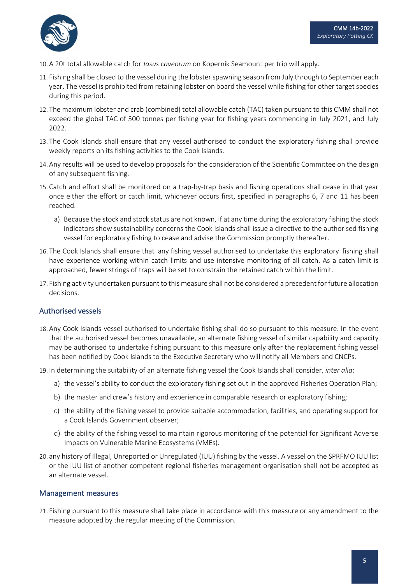

- 10. A 20t total allowable catch for *Jasus caveorum* on Kopernik Seamount per trip will apply.
- 11. Fishing shall be closed to the vessel during the lobster spawning season from July through to September each year. The vessel is prohibited from retaining lobster on board the vessel while fishing for other target species during this period.
- 12. The maximum lobster and crab (combined) total allowable catch (TAC) taken pursuant to this CMM shall not exceed the global TAC of 300 tonnes per fishing year for fishing years commencing in July 2021, and July 2022.
- 13. The Cook Islands shall ensure that any vessel authorised to conduct the exploratory fishing shall provide weekly reports on its fishing activities to the Cook Islands.
- 14. Any results will be used to develop proposals for the consideration of the Scientific Committee on the design of any subsequent fishing.
- 15. Catch and effort shall be monitored on a trap-by-trap basis and fishing operations shall cease in that year once either the effort or catch limit, whichever occurs first, specified in paragraphs 6, 7 and 11 has been reached.
	- a) Because the stock and stock status are not known, if at any time during the exploratory fishing the stock indicators show sustainability concerns the Cook Islands shall issue a directive to the authorised fishing vessel for exploratory fishing to cease and advise the Commission promptly thereafter.
- 16. The Cook Islands shall ensure that any fishing vessel authorised to undertake this exploratory fishing shall have experience working within catch limits and use intensive monitoring of all catch. As a catch limit is approached, fewer strings of traps will be set to constrain the retained catch within the limit.
- 17. Fishing activity undertaken pursuant to this measure shall not be considered a precedent for future allocation decisions.

# Authorised vessels

- 18. Any Cook Islands vessel authorised to undertake fishing shall do so pursuant to this measure. In the event that the authorised vessel becomes unavailable, an alternate fishing vessel of similar capability and capacity may be authorised to undertake fishing pursuant to this measure only after the replacement fishing vessel has been notified by Cook Islands to the Executive Secretary who will notify all Members and CNCPs.
- 19. In determining the suitability of an alternate fishing vessel the Cook Islands shall consider, *inter alia*:
	- a) the vessel's ability to conduct the exploratory fishing set out in the approved Fisheries Operation Plan;
	- b) the master and crew's history and experience in comparable research or exploratory fishing;
	- c) the ability of the fishing vessel to provide suitable accommodation, facilities, and operating support for a Cook Islands Government observer;
	- d) the ability of the fishing vessel to maintain rigorous monitoring of the potential for Significant Adverse Impacts on Vulnerable Marine Ecosystems (VMEs).
- 20. any history of Illegal, Unreported or Unregulated (IUU) fishing by the vessel. A vessel on the SPRFMO IUU list or the IUU list of another competent regional fisheries management organisation shall not be accepted as an alternate vessel.

#### Management measures

21. Fishing pursuant to this measure shall take place in accordance with this measure or any amendment to the measure adopted by the regular meeting of the Commission.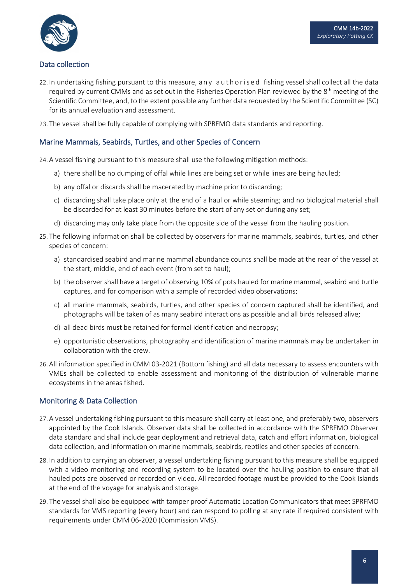

# Data collection

- 22. In undertaking fishing pursuant to this measure, any authorised fishing vessel shall collect all the data required by current CMMs and as set out in the Fisheries Operation Plan reviewed by the 8<sup>th</sup> meeting of the Scientific Committee, and, to the extent possible any further data requested by the Scientific Committee (SC) for its annual evaluation and assessment.
- 23. The vessel shall be fully capable of complying with SPRFMO data standards and reporting.

### Marine Mammals, Seabirds, Turtles, and other Species of Concern

24. A vessel fishing pursuant to this measure shall use the following mitigation methods:

- a) there shall be no dumping of offal while lines are being set or while lines are being hauled;
- b) any offal or discards shall be macerated by machine prior to discarding;
- c) discarding shall take place only at the end of a haul or while steaming; and no biological material shall be discarded for at least 30 minutes before the start of any set or during any set;
- d) discarding may only take place from the opposite side of the vessel from the hauling position.
- 25. The following information shall be collected by observers for marine mammals, seabirds, turtles, and other species of concern:
	- a) standardised seabird and marine mammal abundance counts shall be made at the rear of the vessel at the start, middle, end of each event (from set to haul);
	- b) the observer shall have a target of observing 10% of pots hauled for marine mammal, seabird and turtle captures, and for comparison with a sample of recorded video observations;
	- c) all marine mammals, seabirds, turtles, and other species of concern captured shall be identified, and photographs will be taken of as many seabird interactions as possible and all birds released alive;
	- d) all dead birds must be retained for formal identification and necropsy;
	- e) opportunistic observations, photography and identification of marine mammals may be undertaken in collaboration with the crew.
- 26. All information specified in CMM 03-2021 (Bottom fishing) and all data necessary to assess encounters with VMEs shall be collected to enable assessment and monitoring of the distribution of vulnerable marine ecosystems in the areas fished.

# Monitoring & Data Collection

- 27. A vessel undertaking fishing pursuant to this measure shall carry at least one, and preferably two, observers appointed by the Cook Islands. Observer data shall be collected in accordance with the SPRFMO Observer data standard and shall include gear deployment and retrieval data, catch and effort information, biological data collection, and information on marine mammals, seabirds, reptiles and other species of concern.
- 28. In addition to carrying an observer, a vessel undertaking fishing pursuant to this measure shall be equipped with a video monitoring and recording system to be located over the hauling position to ensure that all hauled pots are observed or recorded on video. All recorded footage must be provided to the Cook Islands at the end of the voyage for analysis and storage.
- 29. The vessel shall also be equipped with tamper proof Automatic Location Communicators that meet SPRFMO standards for VMS reporting (every hour) and can respond to polling at any rate if required consistent with requirements under CMM 06-2020 (Commission VMS).